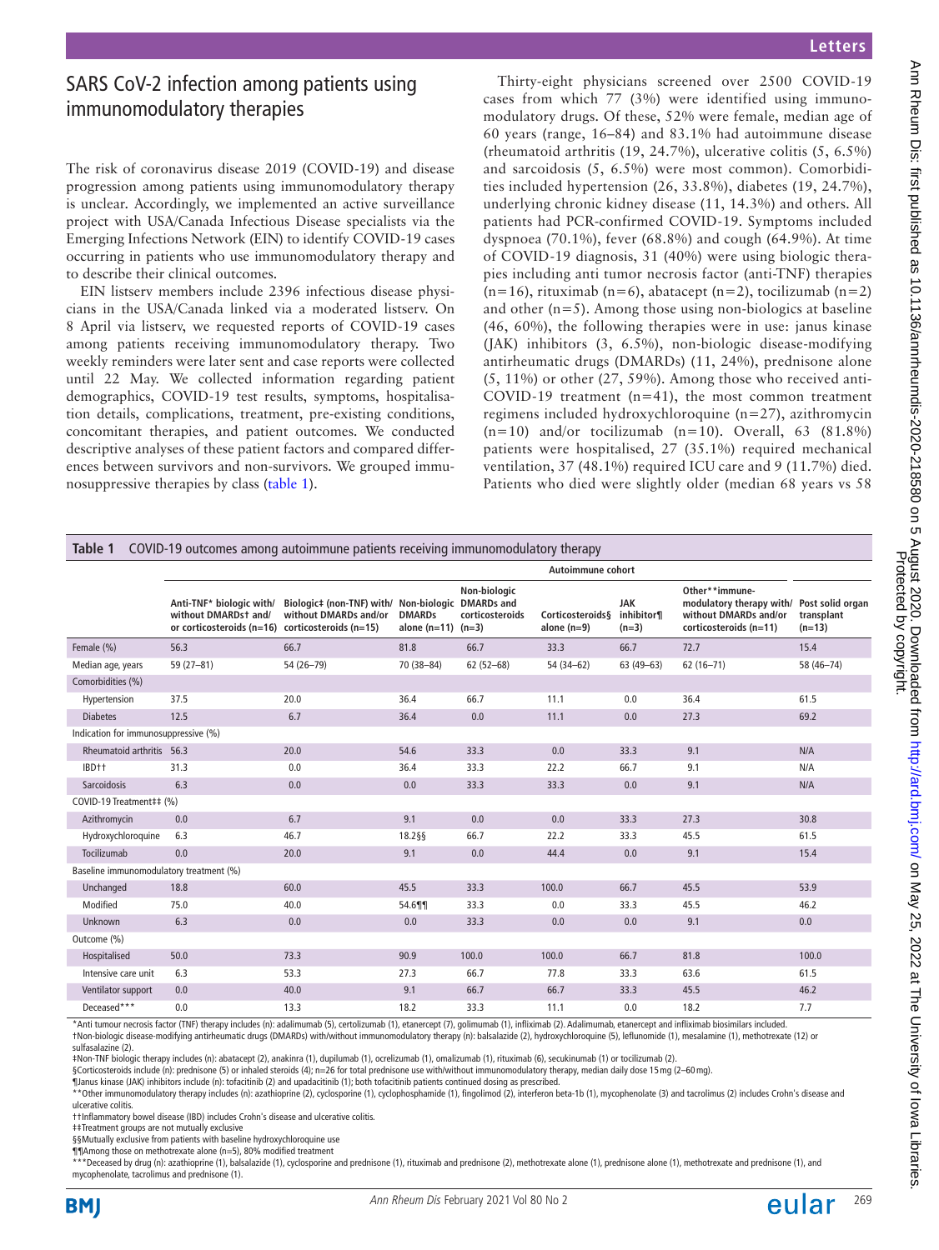# SARS CoV-2 infection among patients using immunomodulatory therapies

The risk of coronavirus disease 2019 (COVID-19) and disease progression among patients using immunomodulatory therapy is unclear. Accordingly, we implemented an active surveillance project with USA/Canada Infectious Disease specialists via the Emerging Infections Network (EIN) to identify COVID-19 cases occurring in patients who use immunomodulatory therapy and to describe their clinical outcomes.

EIN listserv members include 2396 infectious disease physicians in the USA/Canada linked via a moderated listserv. On 8 April via listserv, we requested reports of COVID-19 cases among patients receiving immunomodulatory therapy. Two weekly reminders were later sent and case reports were collected until 22 May. We collected information regarding patient demographics, COVID-19 test results, symptoms, hospitalisation details, complications, treatment, pre-existing conditions, concomitant therapies, and patient outcomes. We conducted descriptive analyses of these patient factors and compared differences between survivors and non-survivors. We grouped immunosuppressive therapies by class [\(table](#page-0-0) 1).

Protected by copyright. Ann Meum Dis: first published as 10.1136/annrheumdis-2020-218580 on 5 August 2020. Downloaded from Downloaded from/ on May 25, 2022 at The University of Iowa Libraries.

2022 at The University of lowa Libraries

Ann Rheum Dis: first published as 10.1136/annrheumdis-2020-218580 on 5 August 2020. Downloaded from http://ard.bmj.com/ on May 25,<br>Ann Rheum Dis: first published as 10.1136/annrheumdis-2020-218580 on 5 Protected by copyrig

Thirty-eight physicians screened over 2500 COVID-19 cases from which 77 (3%) were identified using immunomodulatory drugs. Of these, 52% were female, median age of 60 years (range, 16–84) and 83.1% had autoimmune disease (rheumatoid arthritis (19, 24.7%), ulcerative colitis (5, 6.5%) and sarcoidosis (5, 6.5%) were most common). Comorbidities included hypertension (26, 33.8%), diabetes (19, 24.7%), underlying chronic kidney disease (11, 14.3%) and others. All patients had PCR-confirmed COVID-19. Symptoms included dyspnoea (70.1%), fever (68.8%) and cough (64.9%). At time of COVID-19 diagnosis, 31 (40%) were using biologic therapies including anti tumor necrosis factor (anti-TNF) therapies  $(n=16)$ , rituximab  $(n=6)$ , abatacept  $(n=2)$ , tocilizumab  $(n=2)$ and other  $(n=5)$ . Among those using non-biologics at baseline (46, 60%), the following therapies were in use: janus kinase (JAK) inhibitors (3, 6.5%), non-biologic disease-modifying antirheumatic drugs (DMARDs) (11, 24%), prednisone alone  $(5, 11\%)$  or other  $(27, 59\%)$ . Among those who received anti-COVID-19 treatment  $(n=41)$ , the most common treatment regimens included hydroxychloroquine (n=27), azithromycin  $(n=10)$  and/or tocilizumab  $(n=10)$ . Overall, 63 (81.8%) patients were hospitalised, 27 (35.1%) required mechanical ventilation, 37 (48.1%) required ICU care and 9 (11.7%) died. Patients who died were slightly older (median 68 years vs 58

<span id="page-0-0"></span>

|                                         | Autoimmune cohort                                                                                            |                                                                 |                                         |                                                      |                                              |                                     |                                                                                                                |                        |
|-----------------------------------------|--------------------------------------------------------------------------------------------------------------|-----------------------------------------------------------------|-----------------------------------------|------------------------------------------------------|----------------------------------------------|-------------------------------------|----------------------------------------------------------------------------------------------------------------|------------------------|
|                                         | Anti-TNF* biologic with/<br>without DMARDst and/<br>or corticosteroids ( $n=16$ ) corticosteroids ( $n=15$ ) | Biologic‡ (non-TNF) with/ Non-biologic<br>without DMARDs and/or | <b>DMARDs</b><br>alone $(n=11)$ $(n=3)$ | Non-biologic<br><b>DMARDs</b> and<br>corticosteroids | <b>Corticosteroids&amp;</b><br>alone $(n=9)$ | <b>JAK</b><br>inhibitor¶<br>$(n=3)$ | Other**immune-<br>modulatory therapy with/ Post solid organ<br>without DMARDs and/or<br>corticosteroids (n=11) | transplant<br>$(n=13)$ |
| Female (%)                              | 56.3                                                                                                         | 66.7                                                            | 81.8                                    | 66.7                                                 | 33.3                                         | 66.7                                | 72.7                                                                                                           | 15.4                   |
| Median age, years                       | $59(27-81)$                                                                                                  | 54 (26-79)                                                      | 70 (38-84)                              | $62(52-68)$                                          | 54 (34-62)                                   | $63(49-63)$                         | $62(16 - 71)$                                                                                                  | 58 (46-74)             |
| Comorbidities (%)                       |                                                                                                              |                                                                 |                                         |                                                      |                                              |                                     |                                                                                                                |                        |
| Hypertension                            | 37.5                                                                                                         | 20.0                                                            | 36.4                                    | 66.7                                                 | 11.1                                         | 0.0                                 | 36.4                                                                                                           | 61.5                   |
| <b>Diabetes</b>                         | 12.5                                                                                                         | 6.7                                                             | 36.4                                    | 0.0                                                  | 11.1                                         | 0.0                                 | 27.3                                                                                                           | 69.2                   |
| Indication for immunosuppressive (%)    |                                                                                                              |                                                                 |                                         |                                                      |                                              |                                     |                                                                                                                |                        |
| Rheumatoid arthritis 56.3               |                                                                                                              | 20.0                                                            | 54.6                                    | 33.3                                                 | 0.0                                          | 33.3                                | 9.1                                                                                                            | N/A                    |
| IBD++                                   | 31.3                                                                                                         | 0.0                                                             | 36.4                                    | 33.3                                                 | 22.2                                         | 66.7                                | 9.1                                                                                                            | N/A                    |
| Sarcoidosis                             | 6.3                                                                                                          | 0.0                                                             | 0.0                                     | 33.3                                                 | 33.3                                         | 0.0                                 | 9.1                                                                                                            | N/A                    |
| COVID-19 Treatment## (%)                |                                                                                                              |                                                                 |                                         |                                                      |                                              |                                     |                                                                                                                |                        |
| Azithromycin                            | 0.0                                                                                                          | 6.7                                                             | 9.1                                     | 0.0                                                  | 0.0                                          | 33.3                                | 27.3                                                                                                           | 30.8                   |
| Hydroxychloroquine                      | 6.3                                                                                                          | 46.7                                                            | 18.2§§                                  | 66.7                                                 | 22.2                                         | 33.3                                | 45.5                                                                                                           | 61.5                   |
| Tocilizumab                             | 0.0                                                                                                          | 20.0                                                            | 9.1                                     | 0.0                                                  | 44.4                                         | 0.0                                 | 9.1                                                                                                            | 15.4                   |
| Baseline immunomodulatory treatment (%) |                                                                                                              |                                                                 |                                         |                                                      |                                              |                                     |                                                                                                                |                        |
| Unchanged                               | 18.8                                                                                                         | 60.0                                                            | 45.5                                    | 33.3                                                 | 100.0                                        | 66.7                                | 45.5                                                                                                           | 53.9                   |
| Modified                                | 75.0                                                                                                         | 40.0                                                            | 54.6¶¶                                  | 33.3                                                 | 0.0                                          | 33.3                                | 45.5                                                                                                           | 46.2                   |
| Unknown                                 | 6.3                                                                                                          | 0.0                                                             | 0.0                                     | 33.3                                                 | 0.0                                          | 0.0                                 | 9.1                                                                                                            | 0.0                    |
| Outcome (%)                             |                                                                                                              |                                                                 |                                         |                                                      |                                              |                                     |                                                                                                                |                        |
| Hospitalised                            | 50.0                                                                                                         | 73.3                                                            | 90.9                                    | 100.0                                                | 100.0                                        | 66.7                                | 81.8                                                                                                           | 100.0                  |
| Intensive care unit                     | 6.3                                                                                                          | 53.3                                                            | 27.3                                    | 66.7                                                 | 77.8                                         | 33.3                                | 63.6                                                                                                           | 61.5                   |
| Ventilator support                      | 0.0                                                                                                          | 40.0                                                            | 9.1                                     | 66.7                                                 | 66.7                                         | 33.3                                | 45.5                                                                                                           | 46.2                   |
| Deceased***                             | 0.0                                                                                                          | 13.3                                                            | 18.2                                    | 33.3                                                 | 11.1                                         | 0.0                                 | 18.2                                                                                                           | 7.7                    |

nti tumour necrosis factor (TNF) therapy includes (n): adalimumab (5), certolizumab (1), etanercept (7), golimumab (1), infliximab (2). Adalimumab, etanercept and infliximab biosimil †Non-biologic disease-modifying antirheumatic drugs (DMARDs) with/without immunomodulatory therapy (n): balsalazide (2), hydroxychloroquine (5), leflunomide (1), mesalamine (1), methotrexate (12) or sulfasalazine (2).

‡Non-TNF biologic therapy includes (n): abatacept (2), anakinra (1), dupilumab (1), ocrelizumab (1), omalizumab (1), rituximab (6), secukinumab (1) or tocilizumab (2).

§Corticosteroids include (n): prednisone (5) or inhaled steroids (4); n=26 for total prednisone use with/without immunomodulatory therapy, median daily dose 15mg (2–60mg).

¶Janus kinase (JAK) inhibitors include (n): tofacitinib (2) and upadacitinib (1); both tofacitinib patients continued dosing as prescribed.

\*Other immunomodulatory therapy includes (n): azathioprine (2), cyclosporine (1), cyclophosphamide (1), fingolimod (2), interferon beta-1b (1), mycophenolate (3) and tacrolimus (2) includes Crohn's disease and ulcerative colitis.

††Inflammatory bowel disease (IBD) includes Crohn's disease and ulcerative colitis.

‡‡Treatment groups are not mutually exclusive

§§Mutually exclusive from patients with baseline hydroxychloroquine use

¶¶Among those on methotrexate alone (n=5), 80% modified treatment

\*\*\*Deceased by drug (n): azathioprine (1), balsalazide (1), cyclosporine and prednisone (1), rituximab and prednisone (2), methotrexate alone (1), prednisone alone (1), methotrexate and prednisone (1), and  $***Dec$  and pred mycophenolate, tacrolimus and prednisone (1).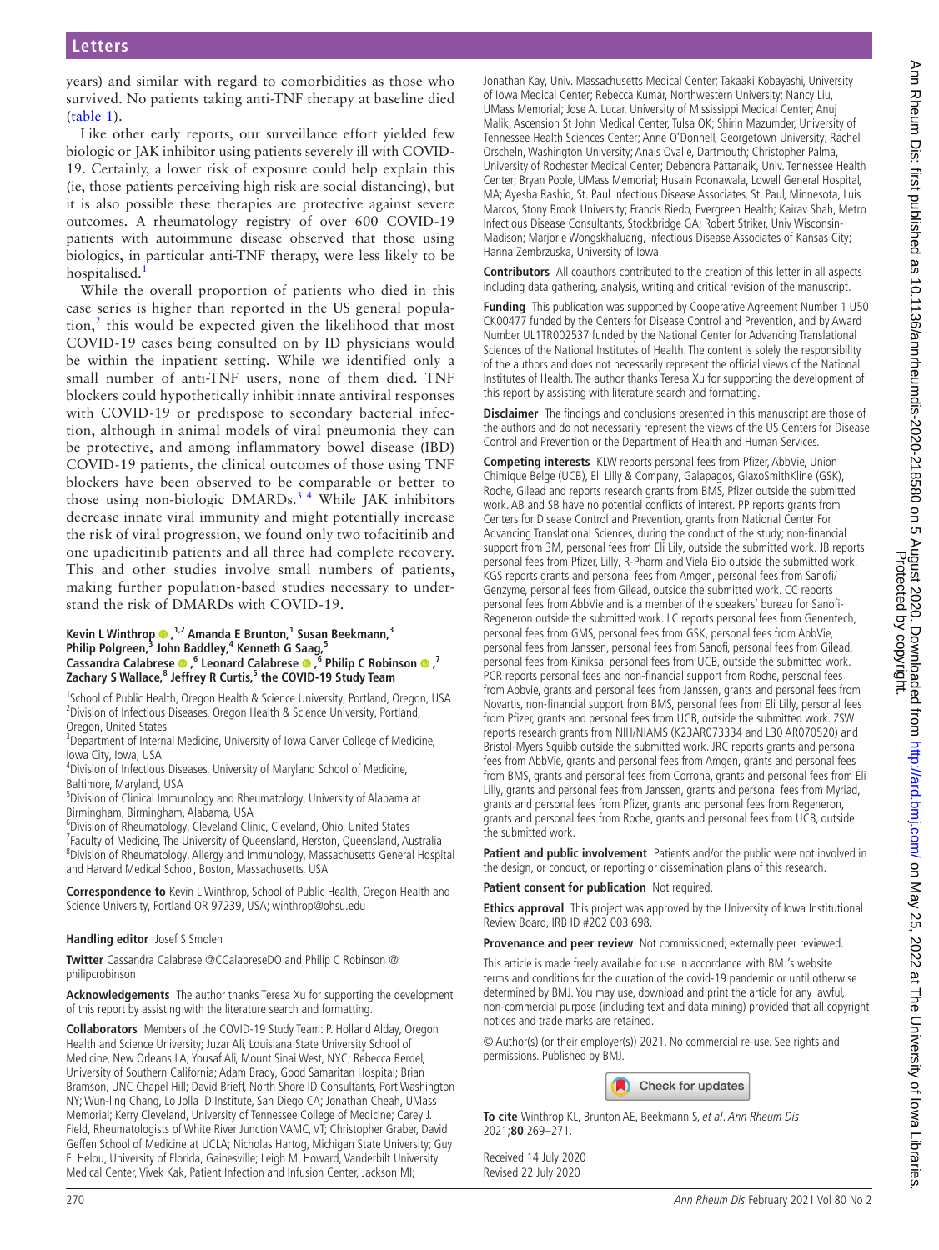years) and similar with regard to comorbidities as those who survived. No patients taking anti-TNF therapy at baseline died ([table](#page-0-0) 1).

Like other early reports, our surveillance effort yielded few biologic or JAK inhibitor using patients severely ill with COVID-19. Certainly, a lower risk of exposure could help explain this (ie, those patients perceiving high risk are social distancing), but it is also possible these therapies are protective against severe outcomes. A rheumatology registry of over 600 COVID-19 patients with autoimmune disease observed that those using biologics, in particular anti-TNF therapy, were less likely to be hospitalised.

While the overall proportion of patients who died in this case series is higher than reported in the US general population, $\lambda$  this would be expected given the likelihood that most COVID-19 cases being consulted on by ID physicians would be within the inpatient setting. While we identified only a small number of anti-TNF users, none of them died. TNF blockers could hypothetically inhibit innate antiviral responses with COVID-19 or predispose to secondary bacterial infection, although in animal models of viral pneumonia they can be protective, and among inflammatory bowel disease (IBD) COVID-19 patients, the clinical outcomes of those using TNF blockers have been observed to be comparable or better to those using non-biologic DMARDs.<sup>34</sup> While JAK inhibitors decrease innate viral immunity and might potentially increase the risk of viral progression, we found only two tofacitinib and one upadicitinib patients and all three had complete recovery. This and other studies involve small numbers of patients, making further population-based studies necessary to understand the risk of DMARDs with COVID-19.

#### **Kevin L Winthrop <sup>®</sup>,<sup>1,2</sup> Amanda E Brunton,<sup>1</sup> Susan Beekmann,<sup>3</sup>** Philip Polgreen,<sup>3</sup> John Baddley,<sup>4</sup> Kenneth G Saag,<sup>5</sup> **CassandraCalabrese .**<sup>6</sup> Leonard Calabrese .<sup>6</sup> Philip C Robinson .<sup>7</sup> **Zachary S Wallace,8 Jeffrey R Curtis,<sup>5</sup> the COVID-19 Study Team**

<sup>1</sup>School of Public Health, Oregon Health & Science University, Portland, Oregon, USA <sup>2</sup> Division of Infectious Diseases, Oregon Health & Science University, Portland, Oregon, United States

<sup>3</sup>Department of Internal Medicine, University of Iowa Carver College of Medicine, Iowa City, Iowa, USA

4 Division of Infectious Diseases, University of Maryland School of Medicine, Baltimore, Maryland, USA

5 Division of Clinical Immunology and Rheumatology, University of Alabama at Birmingham, Birmingham, Alabama, USA

6 Division of Rheumatology, Cleveland Clinic, Cleveland, Ohio, United States <sup>7</sup> Faculty of Medicine, The University of Queensland, Herston, Queensland, Australia 8 Division of Rheumatology, Allergy and Immunology, Massachusetts General Hospital and Harvard Medical School, Boston, Massachusetts, USA

**Correspondence to** Kevin L Winthrop, School of Public Health, Oregon Health and Science University, Portland OR 97239, USA; winthrop@ohsu.edu

#### **Handling editor** Josef S Smolen

**Twitter** Cassandra Calabrese [@CCalabreseDO](https://twitter.com/CCalabreseDO) and Philip C Robinson [@](https://twitter.com/philipcrobinson) [philipcrobinson](https://twitter.com/philipcrobinson)

**Acknowledgements** The author thanks Teresa Xu for supporting the development of this report by assisting with the literature search and formatting.

**Collaborators** Members of the COVID-19 Study Team: P. Holland Alday, Oregon Health and Science University; Juzar Ali, Louisiana State University School of Medicine, New Orleans LA; Yousaf Ali, Mount Sinai West, NYC; Rebecca Berdel, University of Southern California; Adam Brady, Good Samaritan Hospital; Brian Bramson, UNC Chapel Hill; David Brieff, North Shore ID Consultants, Port Washington NY; Wun-ling Chang, Lo Jolla ID Institute, San Diego CA; Jonathan Cheah, UMass Memorial; Kerry Cleveland, University of Tennessee College of Medicine; Carey J. Field, Rheumatologists of White River Junction VAMC, VT; Christopher Graber, David Geffen School of Medicine at UCLA; Nicholas Hartog, Michigan State University; Guy El Helou, University of Florida, Gainesville; Leigh M. Howard, Vanderbilt University Medical Center, Vivek Kak, Patient Infection and Infusion Center, Jackson MI;

Jonathan Kay, Univ. Massachusetts Medical Center; Takaaki Kobayashi, University of Iowa Medical Center; Rebecca Kumar, Northwestern University; Nancy Liu, UMass Memorial; Jose A. Lucar, University of Mississippi Medical Center; Anuj Malik, Ascension St John Medical Center, Tulsa OK; Shirin Mazumder, University of Tennessee Health Sciences Center; Anne O'Donnell, Georgetown University; Rachel Orscheln, Washington University; Anais Ovalle, Dartmouth; Christopher Palma, University of Rochester Medical Center; Debendra Pattanaik, Univ. Tennessee Health Center; Bryan Poole, UMass Memorial; Husain Poonawala, Lowell General Hospital, MA; Ayesha Rashid, St. Paul Infectious Disease Associates, St. Paul, Minnesota, Luis Marcos, Stony Brook University; Francis Riedo, Evergreen Health; Kairav Shah, Metro Infectious Disease Consultants, Stockbridge GA; Robert Striker, Univ Wisconsin-Madison; Marjorie Wongskhaluang, Infectious Disease Associates of Kansas City; Hanna Zembrzuska, University of Iowa.

**Contributors** All coauthors contributed to the creation of this letter in all aspects including data gathering, analysis, writing and critical revision of the manuscript.

**Funding** This publication was supported by Cooperative Agreement Number 1 U50 CK00477 funded by the Centers for Disease Control and Prevention, and by Award Number UL1TR002537 funded by the National Center for Advancing Translational Sciences of the National Institutes of Health. The content is solely the responsibility of the authors and does not necessarily represent the official views of the National Institutes of Health. The author thanks Teresa Xu for supporting the development of this report by assisting with literature search and formatting.

**Disclaimer** The findings and conclusions presented in this manuscript are those of the authors and do not necessarily represent the views of the US Centers for Disease Control and Prevention or the Department of Health and Human Services.

**Competing interests** KLW reports personal fees from Pfizer, AbbVie, Union Chimique Belge (UCB), Eli Lilly & Company, Galapagos, GlaxoSmithKline (GSK), Roche, Gilead and reports research grants from BMS, Pfizer outside the submitted work. AB and SB have no potential conflicts of interest. PP reports grants from Centers for Disease Control and Prevention, grants from National Center For Advancing Translational Sciences, during the conduct of the study; non-financial support from 3M, personal fees from Eli Lily, outside the submitted work. JB reports personal fees from Pfizer, Lilly, R-Pharm and Viela Bio outside the submitted work. KGS reports grants and personal fees from Amgen, personal fees from Sanofi/ Genzyme, personal fees from Gilead, outside the submitted work. CC reports personal fees from AbbVie and is a member of the speakers' bureau for Sanofi-Regeneron outside the submitted work. LC reports personal fees from Genentech, personal fees from GMS, personal fees from GSK, personal fees from AbbVie, personal fees from Janssen, personal fees from Sanofi, personal fees from Gilead, personal fees from Kiniksa, personal fees from UCB, outside the submitted work. PCR reports personal fees and non-financial support from Roche, personal fees from Abbvie, grants and personal fees from Janssen, grants and personal fees from Novartis, non-financial support from BMS, personal fees from Eli Lilly, personal fees from Pfizer, grants and personal fees from UCB, outside the submitted work. ZSW reports research grants from NIH/NIAMS (K23AR073334 and L30 AR070520) and Bristol-Myers Squibb outside the submitted work. JRC reports grants and personal fees from AbbVie, grants and personal fees from Amgen, grants and personal fees from BMS, grants and personal fees from Corrona, grants and personal fees from Eli Lilly, grants and personal fees from Janssen, grants and personal fees from Myriad, grants and personal fees from Pfizer, grants and personal fees from Regeneron, grants and personal fees from Roche, grants and personal fees from UCB, outside the submitted work.

**Patient and public involvement** Patients and/or the public were not involved in the design, or conduct, or reporting or dissemination plans of this research.

**Patient consent for publication** Not required.

**Ethics approval** This project was approved by the University of Iowa Institutional Review Board, IRB ID #202 003 698.

**Provenance and peer review** Not commissioned; externally peer reviewed.

This article is made freely available for use in accordance with BMJ's website terms and conditions for the duration of the covid-19 pandemic or until otherwise determined by BMJ. You may use, download and print the article for any lawful, non-commercial purpose (including text and data mining) provided that all copyright notices and trade marks are retained.

© Author(s) (or their employer(s)) 2021. No commercial re-use. See rights and permissions. Published by BMJ.



**To cite** Winthrop KL, Brunton AE, Beekmann S, et al. Ann Rheum Dis 2021;**80**:269–271.

Received 14 July 2020 Revised 22 July 2020